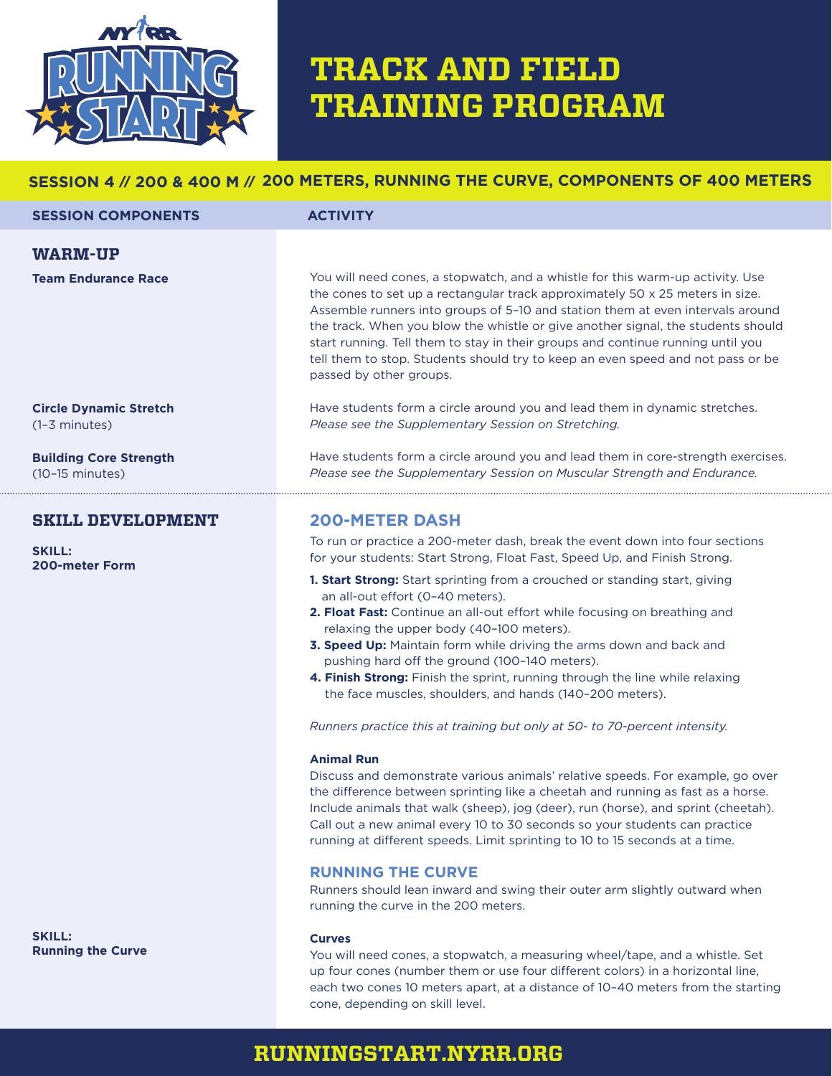

# **TRACK AND FIELD TRAINING PROGRAM**

## **SESSION 4 // 200 & 400 M // 200 METERS, RUNNING THE CURVE, COMPONENTS OF 400 METERS**

| <b>SESSION COMPONENTS</b>     | <b>ACTIVITY</b>                                                                                                                                                                                                                                                                                                                                                                                                                                                                                                                        |
|-------------------------------|----------------------------------------------------------------------------------------------------------------------------------------------------------------------------------------------------------------------------------------------------------------------------------------------------------------------------------------------------------------------------------------------------------------------------------------------------------------------------------------------------------------------------------------|
| <b>WARM-UP</b>                |                                                                                                                                                                                                                                                                                                                                                                                                                                                                                                                                        |
| <b>Team Endurance Race</b>    | You will need cones, a stopwatch, and a whistle for this warm-up activity. Use<br>the cones to set up a rectangular track approximately 50 x 25 meters in size.<br>Assemble runners into groups of 5-10 and station them at even intervals around<br>the track. When you blow the whistle or give another signal, the students should<br>start running. Tell them to stay in their groups and continue running until you<br>tell them to stop. Students should try to keep an even speed and not pass or be<br>passed by other groups. |
| <b>Circle Dynamic Stretch</b> | Have students form a circle around you and lead them in dynamic stretches.                                                                                                                                                                                                                                                                                                                                                                                                                                                             |
| $(1-3$ minutes)               | Please see the Supplementary Session on Stretching.                                                                                                                                                                                                                                                                                                                                                                                                                                                                                    |
| <b>Building Core Strength</b> | Have students form a circle around you and lead them in core-strength exercises.                                                                                                                                                                                                                                                                                                                                                                                                                                                       |
| $(10-15 \text{ minutes})$     | Please see the Supplementary Session on Muscular Strength and Endurance.                                                                                                                                                                                                                                                                                                                                                                                                                                                               |
| <b>SKILL DEVELOPMENT</b>      | <b>200-METER DASH</b>                                                                                                                                                                                                                                                                                                                                                                                                                                                                                                                  |
| <b>SKILL:</b>                 | To run or practice a 200-meter dash, break the event down into four sections                                                                                                                                                                                                                                                                                                                                                                                                                                                           |
| <b>200-meter Form</b>         | for your students: Start Strong, Float Fast, Speed Up, and Finish Strong.                                                                                                                                                                                                                                                                                                                                                                                                                                                              |

- **1. Start Strong:** Start sprinting from a crouched or standing start, giving an all-out effort (0–40 meters).
- **2. Float Fast:** Continue an all-out effort while focusing on breathing and relaxing the upper body (40–100 meters).
- **3. Speed Up:** Maintain form while driving the arms down and back and pushing hard off the ground (100–140 meters).
- **4. Finish Strong:** Finish the sprint, running through the line while relaxing the face muscles, shoulders, and hands (140–200 meters).

*Runners practice this at training but only at 50- to 70-percent intensity.*

#### **Animal Run**

Discuss and demonstrate various animals' relative speeds. For example, go over the difference between sprinting like a cheetah and running as fast as a horse. Include animals that walk (sheep), jog (deer), run (horse), and sprint (cheetah). Call out a new animal every 10 to 30 seconds so your students can practice running at different speeds. Limit sprinting to 10 to 15 seconds at a time.

### **RUNNING THE CURVE**

Runners should lean inward and swing their outer arm slightly outward when running the curve in the 200 meters.

#### **Curves**

You will need cones, a stopwatch, a measuring wheel/tape, and a whistle. Set up four cones (number them or use four different colors) in a horizontal line, each two cones 10 meters apart, at a distance of 10–40 meters from the starting cone, depending on skill level.

## **RUNNINGSTART.NYRR.ORG**

**SKILL: Running the Curve**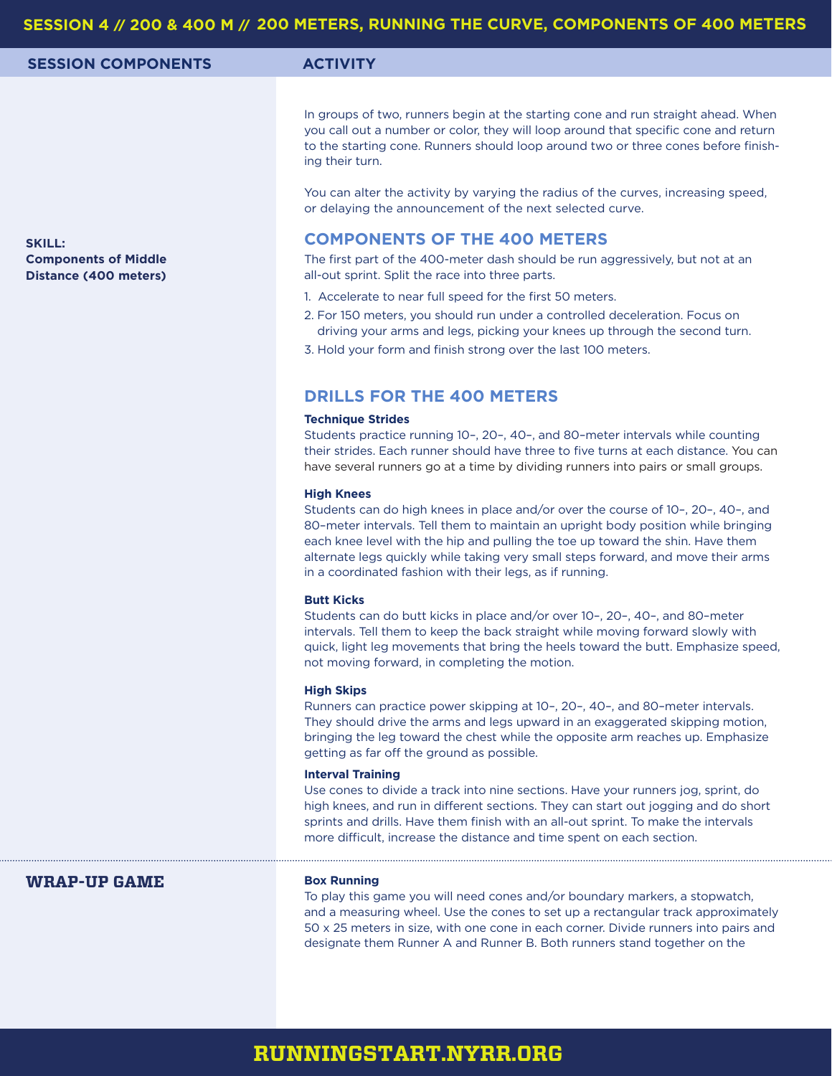| SESSION 4 // 200 & 400 M // 200 METERS, RUNNING THE CURVE, COMPONENTS OF 400 METERS |                                                                                                                                                                                                                                                                                                                                                                                                                               |  |
|-------------------------------------------------------------------------------------|-------------------------------------------------------------------------------------------------------------------------------------------------------------------------------------------------------------------------------------------------------------------------------------------------------------------------------------------------------------------------------------------------------------------------------|--|
| <b>SESSION COMPONENTS</b>                                                           | <b>ACTIVITY</b>                                                                                                                                                                                                                                                                                                                                                                                                               |  |
|                                                                                     | In groups of two, runners begin at the starting cone and run straight ahead. When<br>you call out a number or color, they will loop around that specific cone and return<br>to the starting cone. Runners should loop around two or three cones before finish-<br>ing their turn.<br>You can alter the activity by varying the radius of the curves, increasing speed,                                                        |  |
| <b>SKILL:</b>                                                                       | or delaying the announcement of the next selected curve.<br><b>COMPONENTS OF THE 400 METERS</b>                                                                                                                                                                                                                                                                                                                               |  |
| <b>Components of Middle</b><br>Distance (400 meters)                                | The first part of the 400-meter dash should be run aggressively, but not at an<br>all-out sprint. Split the race into three parts.                                                                                                                                                                                                                                                                                            |  |
|                                                                                     | 1. Accelerate to near full speed for the first 50 meters.<br>2. For 150 meters, you should run under a controlled deceleration. Focus on<br>driving your arms and legs, picking your knees up through the second turn.<br>3. Hold your form and finish strong over the last 100 meters.                                                                                                                                       |  |
|                                                                                     | <b>DRILLS FOR THE 400 METERS</b>                                                                                                                                                                                                                                                                                                                                                                                              |  |
|                                                                                     | <b>Technique Strides</b><br>Students practice running 10-, 20-, 40-, and 80-meter intervals while counting<br>their strides. Each runner should have three to five turns at each distance. You can<br>have several runners go at a time by dividing runners into pairs or small groups.                                                                                                                                       |  |
|                                                                                     | <b>High Knees</b><br>Students can do high knees in place and/or over the course of 10-, 20-, 40-, and<br>80-meter intervals. Tell them to maintain an upright body position while bringing<br>each knee level with the hip and pulling the toe up toward the shin. Have them<br>alternate legs quickly while taking very small steps forward, and move their arms<br>in a coordinated fashion with their legs, as if running. |  |
|                                                                                     | <b>Butt Kicks</b><br>Students can do butt kicks in place and/or over 10-, 20-, 40-, and 80-meter<br>intervals. Tell them to keep the back straight while moving forward slowly with<br>quick, light leg movements that bring the heels toward the butt. Emphasize speed,<br>not moving forward, in completing the motion.                                                                                                     |  |
|                                                                                     | <b>High Skips</b><br>Runners can practice power skipping at 10-, 20-, 40-, and 80-meter intervals.<br>They should drive the arms and legs upward in an exaggerated skipping motion,<br>bringing the leg toward the chest while the opposite arm reaches up. Emphasize<br>getting as far off the ground as possible.                                                                                                           |  |
|                                                                                     | <b>Interval Training</b><br>Use cones to divide a track into nine sections. Have your runners jog, sprint, do<br>high knees, and run in different sections. They can start out jogging and do short<br>sprints and drills. Have them finish with an all-out sprint. To make the intervals<br>more difficult, increase the distance and time spent on each section.                                                            |  |
| <b>WRAP-UP GAME</b>                                                                 | <b>Box Running</b><br>To play this game you will need cones and/or boundary markers, a stopwatch,                                                                                                                                                                                                                                                                                                                             |  |

and a measuring wheel. Use the cones to set up a rectangular track approximately 50 x 25 meters in size, with one cone in each corner. Divide runners into pairs and designate them Runner A and Runner B. Both runners stand together on the